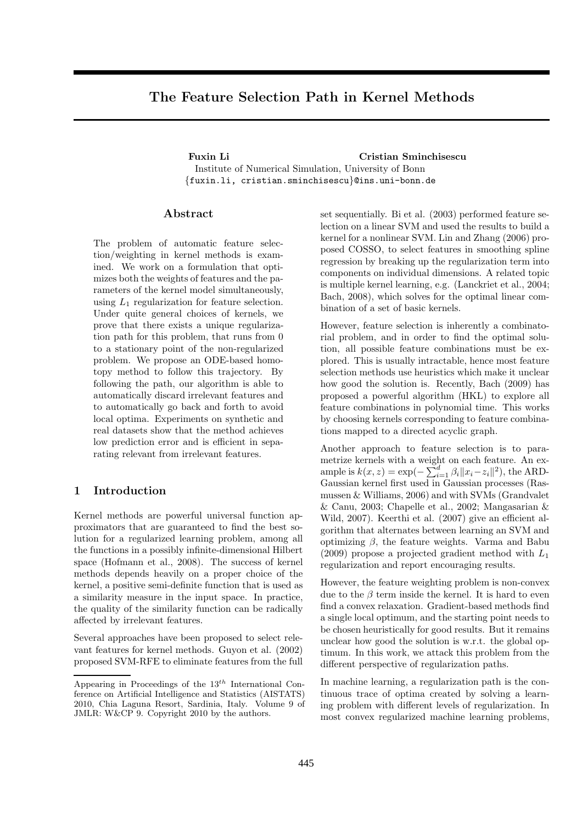# The Feature Selection Path in Kernel Methods

Fuxin Li Cristian Sminchisescu Institute of Numerical Simulation, University of Bonn {fuxin.li, cristian.sminchisescu}@ins.uni-bonn.de

## Abstract

The problem of automatic feature selection/weighting in kernel methods is examined. We work on a formulation that optimizes both the weights of features and the parameters of the kernel model simultaneously, using  $L_1$  regularization for feature selection. Under quite general choices of kernels, we prove that there exists a unique regularization path for this problem, that runs from 0 to a stationary point of the non-regularized problem. We propose an ODE-based homotopy method to follow this trajectory. By following the path, our algorithm is able to automatically discard irrelevant features and to automatically go back and forth to avoid local optima. Experiments on synthetic and real datasets show that the method achieves low prediction error and is efficient in separating relevant from irrelevant features.

## 1 Introduction

Kernel methods are powerful universal function approximators that are guaranteed to find the best solution for a regularized learning problem, among all the functions in a possibly infinite-dimensional Hilbert space (Hofmann et al., 2008). The success of kernel methods depends heavily on a proper choice of the kernel, a positive semi-definite function that is used as a similarity measure in the input space. In practice, the quality of the similarity function can be radically affected by irrelevant features.

Several approaches have been proposed to select relevant features for kernel methods. Guyon et al. (2002) proposed SVM-RFE to eliminate features from the full set sequentially. Bi et al. (2003) performed feature selection on a linear SVM and used the results to build a kernel for a nonlinear SVM. Lin and Zhang (2006) proposed COSSO, to select features in smoothing spline regression by breaking up the regularization term into components on individual dimensions. A related topic is multiple kernel learning, e.g. (Lanckriet et al., 2004; Bach, 2008), which solves for the optimal linear combination of a set of basic kernels.

However, feature selection is inherently a combinatorial problem, and in order to find the optimal solution, all possible feature combinations must be explored. This is usually intractable, hence most feature selection methods use heuristics which make it unclear how good the solution is. Recently, Bach (2009) has proposed a powerful algorithm (HKL) to explore all feature combinations in polynomial time. This works by choosing kernels corresponding to feature combinations mapped to a directed acyclic graph.

Another approach to feature selection is to parametrize kernels with a weight on each feature. An example is  $k(x, z) = \exp(-\sum_{i=1}^d \beta_i ||x_i - z_i||^2)$ , the ARD-Gaussian kernel first used in Gaussian processes (Rasmussen & Williams, 2006) and with SVMs (Grandvalet & Canu, 2003; Chapelle et al., 2002; Mangasarian & Wild, 2007). Keerthi et al. (2007) give an efficient algorithm that alternates between learning an SVM and optimizing  $\beta$ , the feature weights. Varma and Babu  $(2009)$  propose a projected gradient method with  $L_1$ regularization and report encouraging results.

However, the feature weighting problem is non-convex due to the  $\beta$  term inside the kernel. It is hard to even find a convex relaxation. Gradient-based methods find a single local optimum, and the starting point needs to be chosen heuristically for good results. But it remains unclear how good the solution is w.r.t. the global optimum. In this work, we attack this problem from the different perspective of regularization paths.

In machine learning, a regularization path is the continuous trace of optima created by solving a learning problem with different levels of regularization. In most convex regularized machine learning problems,

Appearing in Proceedings of the  $13^{th}$  International Conference on Artificial Intelligence and Statistics (AISTATS) 2010, Chia Laguna Resort, Sardinia, Italy. Volume 9 of JMLR: W&CP 9. Copyright 2010 by the authors.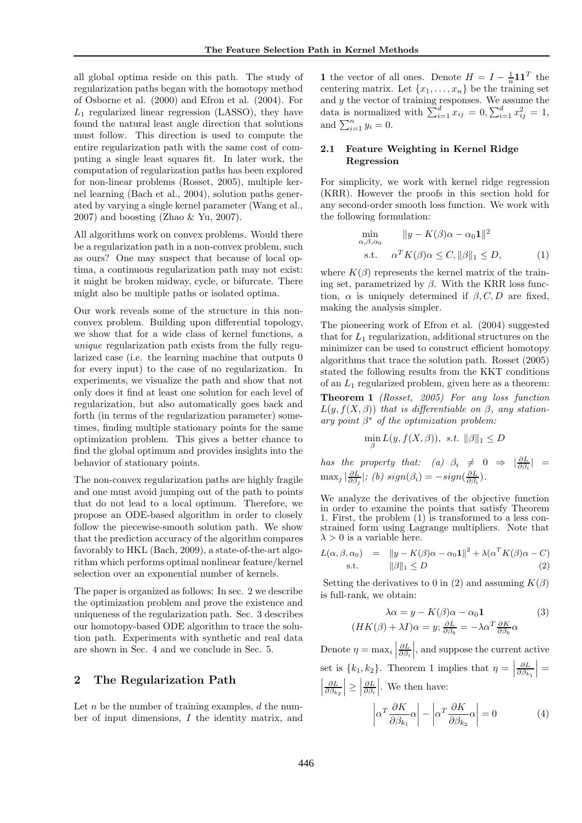all global optima reside on this path. The study of regularization paths began with the homotopy method of Osborne et al. (2000) and Efron et al. (2004). For  $L_1$  regularized linear regression (LASSO), they have found the natural least angle direction that solutions must follow. This direction is used to compute the entire regularization path with the same cost of computing a single least squares fit. In later work, the computation of regularization paths has been explored for non-linear problems (Rosset, 2005), multiple kernel learning (Bach et al., 2004), solution paths generated by varying a single kernel parameter (Wang et al., 2007) and boosting (Zhao & Yu, 2007).

All algorithms work on convex problems. Would there be a regularization path in a non-convex problem, such as ours? One may suspect that because of local optima, a continuous regularization path may not exist: it might be broken midway, cycle, or bifurcate. There might also be multiple paths or isolated optima.

Our work reveals some of the structure in this nonconvex problem. Building upon differential topology, we show that for a wide class of kernel functions, a *unique* regularization path exists from the fully regularized case (i.e. the learning machine that outputs 0 for every input) to the case of no regularization. In experiments, we visualize the path and show that not only does it find at least one solution for each level of regularization, but also automatically goes back and forth (in terms of the regularization parameter) sometimes, finding multiple stationary points for the same optimization problem. This gives a better chance to find the global optimum and provides insights into the behavior of stationary points.

The non-convex regularization paths are highly fragile and one must avoid jumping out of the path to points that do not lead to a local optimum. Therefore, we propose an ODE-based algorithm in order to closely follow the piecewise-smooth solution path. We show that the prediction accuracy of the algorithm compares favorably to HKL (Bach, 2009), a state-of-the-art algorithm which performs optimal nonlinear feature/kernel selection over an exponential number of kernels.

The paper is organized as follows: In sec. 2 we describe the optimization problem and prove the existence and uniqueness of the regularization path. Sec. 3 describes our homotopy-based ODE algorithm to trace the solution path. Experiments with synthetic and real data are shown in Sec. 4 and we conclude in Sec. 5.

## 2 The Regularization Path

Let  $n$  be the number of training examples,  $d$  the number of input dimensions, I the identity matrix, and

**1** the vector of all ones. Denote  $H = I - \frac{1}{n} \mathbf{1} \mathbf{1}^T$  the centering matrix. Let  $\{x_1, \ldots, x_n\}$  be the training set and  $y$  the vector of training responses. We assume the data is normalized with  $\sum_{i=1}^{d} x_{ij} = 0, \sum_{i=1}^{d} x_{ij}^{2} = 1$ , and  $\sum_{i=1}^{n} y_i = 0$ .

## 2.1 Feature Weighting in Kernel Ridge Regression

For simplicity, we work with kernel ridge regression (KRR). However the proofs in this section hold for any second-order smooth loss function. We work with the following formulation:

$$
\min_{\alpha,\beta,\alpha_0} \|y - K(\beta)\alpha - \alpha_0 \mathbf{1}\|^2
$$
\n
$$
\text{s.t.} \quad \alpha^T K(\beta)\alpha \le C, \|\beta\|_1 \le D,\tag{1}
$$

where  $K(\beta)$  represents the kernel matrix of the training set, parametrized by  $\beta$ . With the KRR loss function,  $\alpha$  is uniquely determined if  $\beta$ , C, D are fixed, making the analysis simpler.

The pioneering work of Efron et al. (2004) suggested that for  $L_1$  regularization, additional structures on the minimizer can be used to construct efficient homotopy algorithms that trace the solution path. Rosset (2005) stated the following results from the KKT conditions of an  $L_1$  regularized problem, given here as a theorem:

Theorem 1 *(Rosset, 2005) For any loss function*  $L(y, f(X, \beta))$  *that is differentiable on*  $\beta$ *, any stationary point* β <sup>∗</sup> *of the optimization problem:*

$$
\min_{\beta} L(y, f(X, \beta)), \ s.t. \ \|\beta\|_1 \le D
$$

*has the property that:* (a)  $\beta_i \neq 0 \Rightarrow |\frac{\partial L}{\partial \beta_i}| =$  $\max_j |\frac{\partial L}{\partial \beta_j}|$ ; (b)  $sign(\beta_i) = -sign(\frac{\partial L}{\partial \beta_i})$ .

We analyze the derivatives of the objective function in order to examine the points that satisfy Theorem 1. First, the problem (1) is transformed to a less constrained form using Lagrange multipliers. Note that  $\lambda > 0$  is a variable here.

$$
L(\alpha, \beta, \alpha_0) = \|y - K(\beta)\alpha - \alpha_0 \mathbf{1}\|^2 + \lambda(\alpha^T K(\beta)\alpha - C)
$$
  
s.t. 
$$
\|\beta\|_1 \le D
$$
 (2)

Setting the derivatives to 0 in (2) and assuming  $K(\beta)$ is full-rank, we obtain:

$$
\lambda \alpha = y - K(\beta)\alpha - \alpha_0 \mathbf{1}
$$
  

$$
(HK(\beta) + \lambda I)\alpha = y; \frac{\partial L}{\partial \beta_k} = -\lambda \alpha^T \frac{\partial K}{\partial \beta_k} \alpha
$$
 (3)

Denote  $\eta = \max_i |$  $\frac{\partial L}{\partial \beta_i}$ , and suppose the current active set is  $\{k_1, k_2\}$ . Theorem 1 implies that  $\eta =$  $\frac{\partial L}{\partial \beta_{k_1}}$  $\Big| =$  $\begin{array}{c} \begin{array}{c} \begin{array}{c} \end{array}\\ \begin{array}{c} \end{array} \end{array} \end{array}$  $\frac{\partial L}{\partial \beta_{k_2}}$  $\vert \geq \vert$  $\frac{\partial L}{\partial \beta_i}$ . We then have:

$$
\left| \alpha^T \frac{\partial K}{\partial \beta_{k_1}} \alpha \right| - \left| \alpha^T \frac{\partial K}{\partial \beta_{k_2}} \alpha \right| = 0 \tag{4}
$$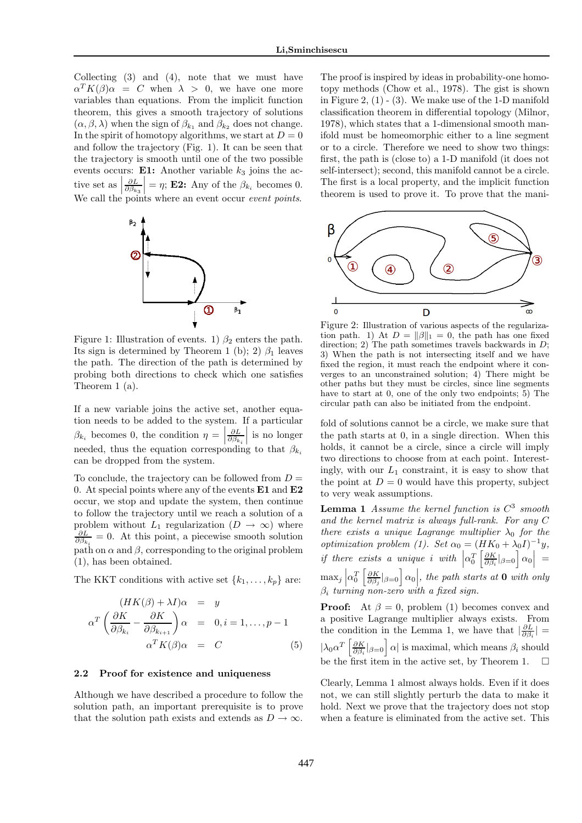Collecting (3) and (4), note that we must have  $\alpha^T K(\beta) \alpha = C$  when  $\lambda > 0$ , we have one more variables than equations. From the implicit function theorem, this gives a smooth trajectory of solutions  $(\alpha, \beta, \lambda)$  when the sign of  $\beta_{k_1}$  and  $\beta_{k_2}$  does not change. In the spirit of homotopy algorithms, we start at  $D = 0$ and follow the trajectory (Fig. 1). It can be seen that the trajectory is smooth until one of the two possible events occurs: **E1:** Another variable  $k_3$  joins the active set as  $\vert$  $\frac{\partial L}{\partial \beta_{k_3}}$ =  $\eta$ ; **E2:** Any of the  $\beta_{k_i}$  becomes 0. We call the points where an event occur *event points*.



Figure 1: Illustration of events. 1)  $\beta_2$  enters the path. Its sign is determined by Theorem 1 (b); 2)  $\beta_1$  leaves the path. The direction of the path is determined by probing both directions to check which one satisfies Theorem 1 (a).

If a new variable joins the active set, another equation needs to be added to the system. If a particular  $\beta_{k_i}$  becomes 0, the condition  $\eta =$  $\frac{\partial L}{\partial \beta_{k_{i}}}$  $\beta_{k_i}$  becomes 0, the condition  $\eta = \left| \frac{\partial L}{\partial \beta_{k_i}} \right|$  is no longer needed, thus the equation corresponding to that  $\beta_{k_i}$ can be dropped from the system.

To conclude, the trajectory can be followed from  $D =$ 0. At special points where any of the events  $E1$  and  $E2$ occur, we stop and update the system, then continue to follow the trajectory until we reach a solution of a problem without  $L_1$  regularization  $(D \to \infty)$  where  $\frac{\partial L}{\partial \beta_{k_i}} = 0$ . At this point, a piecewise smooth solution path on  $\alpha$  and  $\beta$ , corresponding to the original problem (1), has been obtained.

The KKT conditions with active set  $\{k_1, \ldots, k_p\}$  are:

$$
(HK(\beta) + \lambda I)\alpha = y
$$
  
\n
$$
\alpha^T \left(\frac{\partial K}{\partial \beta_{k_i}} - \frac{\partial K}{\partial \beta_{k_{i+1}}}\right)\alpha = 0, i = 1, ..., p - 1
$$
  
\n
$$
\alpha^T K(\beta)\alpha = C
$$
\n(5)

#### 2.2 Proof for existence and uniqueness

Although we have described a procedure to follow the solution path, an important prerequisite is to prove that the solution path exists and extends as  $D \to \infty$ .

The proof is inspired by ideas in probability-one homotopy methods (Chow et al., 1978). The gist is shown in Figure 2,  $(1)$  -  $(3)$ . We make use of the 1-D manifold classification theorem in differential topology (Milnor, 1978), which states that a 1-dimensional smooth manifold must be homeomorphic either to a line segment or to a circle. Therefore we need to show two things: first, the path is (close to) a 1-D manifold (it does not self-intersect); second, this manifold cannot be a circle. The first is a local property, and the implicit function theorem is used to prove it. To prove that the mani-



Figure 2: Illustration of various aspects of the regularization path. 1) At  $D = ||\beta||_1 = 0$ , the path has one fixed direction; 2) The path sometimes travels backwards in  $D$ ; 3) When the path is not intersecting itself and we have fixed the region, it must reach the endpoint where it converges to an unconstrained solution;  $\overline{4}$ ) There might be other paths but they must be circles, since line segments have to start at 0, one of the only two endpoints; 5) The circular path can also be initiated from the endpoint.

fold of solutions cannot be a circle, we make sure that the path starts at 0, in a single direction. When this holds, it cannot be a circle, since a circle will imply two directions to choose from at each point. Interestingly, with our  $L_1$  constraint, it is easy to show that the point at  $D = 0$  would have this property, subject to very weak assumptions.

Lemma 1 *Assume the kernel function is* C 3 *smooth and the kernel matrix is always full-rank. For any* C *there exists a unique Lagrange multiplier*  $\lambda_0$  *for the optimization problem (1). Set*  $\alpha_0 = (HK_0 + \lambda_0 I)^{-1}y$ , *if there exists a unique i with*  $\left|\alpha_0^T\left[\frac{\partial K}{\partial \beta_i}|_{\beta=0}\right] \alpha_0\right| =$  $\max_j \left| \alpha_0^T \left[ \frac{\partial K}{\partial \beta_j} |_{\beta=0} \right] \alpha_0 \right|$ , the path starts at **0** with only β<sup>i</sup> *turning non-zero with a fixed sign.*

**Proof:** At  $\beta = 0$ , problem (1) becomes convex and a positive Lagrange multiplier always exists. From the condition in the Lemma 1, we have that  $\left|\frac{\partial L}{\partial \beta_i}\right|$  =  $|\lambda_0 \alpha^T \left[ \frac{\partial K}{\partial \beta_i} |_{\beta=0} \right] \alpha|$  is maximal, which means  $\beta_i$  should be the first item in the active set, by Theorem 1.  $\Box$ 

Clearly, Lemma 1 almost always holds. Even if it does not, we can still slightly perturb the data to make it hold. Next we prove that the trajectory does not stop when a feature is eliminated from the active set. This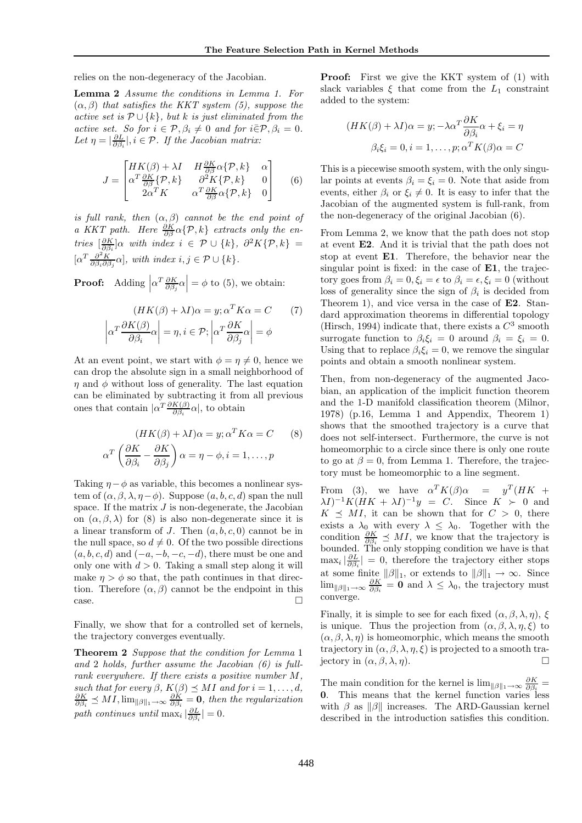relies on the non-degeneracy of the Jacobian.

Lemma 2 *Assume the conditions in Lemma 1. For* (α, β) *that satisfies the KKT system (5), suppose the active set is*  $P \cup \{k\}$ *, but* k *is just eliminated from the active set. So for*  $i \in \mathcal{P}, \beta_i \neq 0$  *and for*  $i\overline{\in}\mathcal{P}, \beta_i = 0$ *.* Let  $\eta = \left| \frac{\partial L}{\partial \beta_i} \right|, i \in \mathcal{P}$ . If the Jacobian matrix:

$$
J = \begin{bmatrix} HK(\beta) + \lambda I & H\frac{\partial K}{\partial \beta} \alpha \{\mathcal{P}, k\} & \alpha \\ \alpha^T \frac{\partial K}{\partial \beta} \{\mathcal{P}, k\} & \partial^2 K \{\mathcal{P}, k\} & 0 \\ 2\alpha^T K & \alpha^T \frac{\partial K}{\partial \beta} \alpha \{\mathcal{P}, k\} & 0 \end{bmatrix}
$$
(6)

*is full rank, then*  $(\alpha, \beta)$  *cannot be the end point of a KKT path. Here*  $\frac{\partial K}{\partial \beta} \alpha \{\mathcal{P}, k\}$  *extracts only the entries*  $\left[\frac{\partial K}{\partial \beta_i}\right]$  *a with index*  $i \in \mathcal{P} \cup \{k\}, \ \partial^2 K\{\mathcal{P}, k\} =$  $[\alpha^T \frac{\partial^2 K}{\partial \beta_i \partial \beta_j} \alpha]$ , with index  $i, j \in \mathcal{P} \cup \{k\}.$ 

**Proof:** Adding  $\left| \alpha^T \frac{\partial K}{\partial \beta_j} \alpha \right| = \phi$  to (5), we obtain:

$$
(HK(\beta) + \lambda I)\alpha = y; \alpha^T K \alpha = C \qquad (7)
$$

$$
\left| \alpha^T \frac{\partial K(\beta)}{\partial \beta_i} \alpha \right| = \eta, i \in \mathcal{P}; \left| \alpha^T \frac{\partial K}{\partial \beta_j} \alpha \right| = \phi
$$

At an event point, we start with  $\phi = \eta \neq 0$ , hence we can drop the absolute sign in a small neighborhood of  $\eta$  and  $\phi$  without loss of generality. The last equation can be eliminated by subtracting it from all previous ones that contain  $|\alpha^T \frac{\partial K(\beta)}{\partial \beta_i} \alpha|$ , to obtain

$$
(HK(\beta) + \lambda I)\alpha = y; \alpha^T K \alpha = C \qquad (8)
$$

$$
\alpha^T \left( \frac{\partial K}{\partial \beta_i} - \frac{\partial K}{\partial \beta_j} \right) \alpha = \eta - \phi, i = 1, \dots, p
$$

Taking  $\eta-\phi$  as variable, this becomes a nonlinear system of  $(\alpha, \beta, \lambda, \eta - \phi)$ . Suppose  $(a, b, c, d)$  span the null space. If the matrix  $J$  is non-degenerate, the Jacobian on  $(\alpha, \beta, \lambda)$  for (8) is also non-degenerate since it is a linear transform of  $J$ . Then  $(a, b, c, 0)$  cannot be in the null space, so  $d \neq 0$ . Of the two possible directions  $(a, b, c, d)$  and  $(-a, -b, -c, -d)$ , there must be one and only one with  $d > 0$ . Taking a small step along it will make  $\eta > \phi$  so that, the path continues in that direction. Therefore  $(\alpha, \beta)$  cannot be the endpoint in this  $\Box$ 

Finally, we show that for a controlled set of kernels, the trajectory converges eventually.

Theorem 2 *Suppose that the condition for Lemma* 1 *and* 2 *holds, further assume the Jacobian (6) is fullrank everywhere. If there exists a positive number* M*,*  $such that for every  $\beta$ ,  $K(\beta) \preceq MI$  and for  $i = 1, ..., d$ ,  $\frac{\partial K}{\partial \beta_i} \preceq MI$ ,  $\lim_{\|\beta\|_1 \to \infty} \frac{\partial K}{\partial \beta_i} = \mathbf{0}$ , then the regularization$ path continues until  $\max_i |\frac{\partial L}{\partial \beta_i}| = 0$ .

Proof: First we give the KKT system of (1) with slack variables  $\xi$  that come from the  $L_1$  constraint added to the system:

$$
(HK(\beta) + \lambda I)\alpha = y; -\lambda \alpha^T \frac{\partial K}{\partial \beta_i} \alpha + \xi_i = \eta
$$

$$
\beta_i \xi_i = 0, i = 1, \dots, p; \alpha^T K(\beta) \alpha = C
$$

This is a piecewise smooth system, with the only singular points at events  $\beta_i = \xi_i = 0$ . Note that aside from events, either  $\beta_i$  or  $\xi_i \neq 0$ . It is easy to infer that the Jacobian of the augmented system is full-rank, from the non-degeneracy of the original Jacobian (6).

From Lemma 2, we know that the path does not stop at event E2. And it is trivial that the path does not stop at event E1. Therefore, the behavior near the singular point is fixed: in the case of E1, the trajectory goes from  $\beta_i = 0, \xi_i = \epsilon$  to  $\beta_i = \epsilon, \xi_i = 0$  (without loss of generality since the sign of  $\beta_i$  is decided from Theorem 1), and vice versa in the case of E2. Standard approximation theorems in differential topology (Hirsch, 1994) indicate that, there exists a  $C^3$  smooth surrogate function to  $\beta_i \xi_i = 0$  around  $\beta_i = \xi_i = 0$ . Using that to replace  $\beta_i \xi_i = 0$ , we remove the singular points and obtain a smooth nonlinear system.

Then, from non-degeneracy of the augmented Jacobian, an application of the implicit function theorem and the 1-D manifold classification theorem (Milnor, 1978) (p.16, Lemma 1 and Appendix, Theorem 1) shows that the smoothed trajectory is a curve that does not self-intersect. Furthermore, the curve is not homeomorphic to a circle since there is only one route to go at  $\beta = 0$ , from Lemma 1. Therefore, the trajectory must be homeomorphic to a line segment.

From (3), we have  $\alpha^T K(\beta) \alpha = y^T(HK +$  $\lambda I)^{-1}K(HK + \lambda I)^{-1}y = C.$  Since  $K > 0$  and  $K \preceq MI$ , it can be shown that for  $C > 0$ , there exists a  $\lambda_0$  with every  $\lambda \leq \lambda_0$ . Together with the condition  $\frac{\partial K}{\partial \beta_i} \preceq MI$ , we know that the trajectory is bounded. The only stopping condition we have is that  $\max_i |\frac{\partial L}{\partial \beta_i}| = 0$ , therefore the trajectory either stops at some finite  $\|\beta\|_1$ , or extends to  $\|\beta\|_1 \to \infty$ . Since  $\lim_{\|\beta\|_1\to\infty} \frac{\partial K}{\partial \beta_i} = \mathbf{0}$  and  $\lambda \leq \lambda_0$ , the trajectory must converge.

Finally, it is simple to see for each fixed  $(\alpha, \beta, \lambda, \eta)$ ,  $\xi$ is unique. Thus the projection from  $(\alpha, \beta, \lambda, \eta, \xi)$  to  $(\alpha, \beta, \lambda, \eta)$  is homeomorphic, which means the smooth trajectory in  $(\alpha, \beta, \lambda, \eta, \xi)$  is projected to a smooth trajectory in  $(\alpha, \beta, \lambda, \eta)$ .

The main condition for the kernel is  $\lim_{\|\beta\|_1\to\infty} \frac{\partial K}{\partial \beta_i} =$ 0. This means that the kernel function varies less with  $\beta$  as  $\|\beta\|$  increases. The ARD-Gaussian kernel described in the introduction satisfies this condition.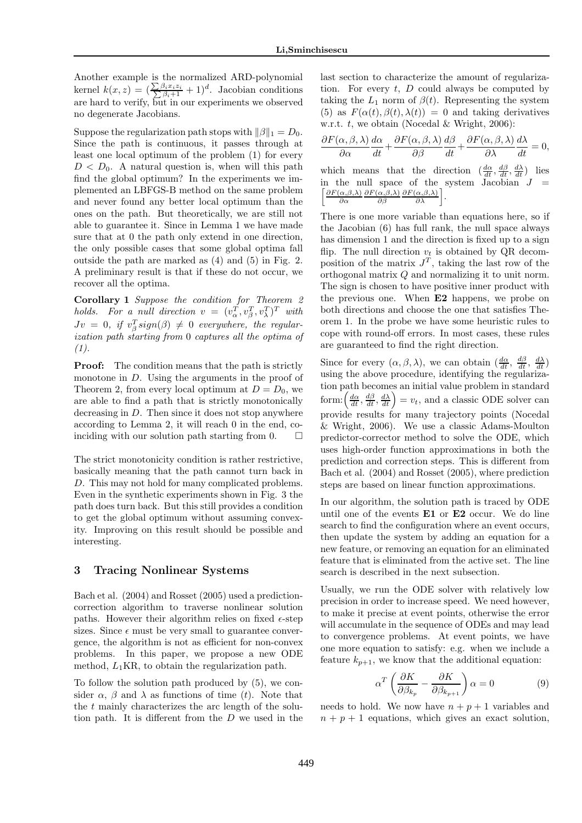Another example is the normalized ARD-polynomial kernel  $k(x, z) = (\frac{\sum_{ } }{2i}$  $\frac{\sum \beta_i x_i z_i}{\sum \beta_i + 1} + 1)^d$ . Jacobian conditions are hard to verify, but in our experiments we observed no degenerate Jacobians.

Suppose the regularization path stops with  $\|\beta\|_1 = D_0$ . Since the path is continuous, it passes through at least one local optimum of the problem (1) for every  $D < D_0$ . A natural question is, when will this path find the global optimum? In the experiments we implemented an LBFGS-B method on the same problem and never found any better local optimum than the ones on the path. But theoretically, we are still not able to guarantee it. Since in Lemma 1 we have made sure that at 0 the path only extend in one direction, the only possible cases that some global optima fall outside the path are marked as (4) and (5) in Fig. 2. A preliminary result is that if these do not occur, we recover all the optima.

Corollary 1 *Suppose the condition for Theorem 2 holds.* For a null direction  $v = (v_\alpha^T, v_\beta^T, v_\lambda^T)^T$  with  $Jv = 0$ , if  $v_{\beta}^{T} sign(\beta) \neq 0$  everywhere, the regular*ization path starting from* 0 *captures all the optima of (1).*

**Proof:** The condition means that the path is strictly monotone in  $D$ . Using the arguments in the proof of Theorem 2, from every local optimum at  $D = D_0$ , we are able to find a path that is strictly monotonically decreasing in  $D$ . Then since it does not stop anywhere according to Lemma 2, it will reach 0 in the end, coinciding with our solution path starting from 0.  $\Box$ 

The strict monotonicity condition is rather restrictive, basically meaning that the path cannot turn back in D. This may not hold for many complicated problems. Even in the synthetic experiments shown in Fig. 3 the path does turn back. But this still provides a condition to get the global optimum without assuming convexity. Improving on this result should be possible and interesting.

## 3 Tracing Nonlinear Systems

Bach et al. (2004) and Rosset (2005) used a predictioncorrection algorithm to traverse nonlinear solution paths. However their algorithm relies on fixed  $\epsilon$ -step sizes. Since  $\epsilon$  must be very small to guarantee convergence, the algorithm is not as efficient for non-convex problems. In this paper, we propose a new ODE method,  $L_1$ KR, to obtain the regularization path.

To follow the solution path produced by (5), we consider  $\alpha$ ,  $\beta$  and  $\lambda$  as functions of time (t). Note that the t mainly characterizes the arc length of the solution path. It is different from the D we used in the last section to characterize the amount of regularization. For every  $t$ ,  $D$  could always be computed by taking the  $L_1$  norm of  $\beta(t)$ . Representing the system (5) as  $F(\alpha(t), \beta(t), \lambda(t)) = 0$  and taking derivatives w.r.t.  $t$ , we obtain (Nocedal & Wright, 2006):

$$
\frac{\partial F(\alpha, \beta, \lambda)}{\partial \alpha} \frac{d\alpha}{dt} + \frac{\partial F(\alpha, \beta, \lambda)}{\partial \beta} \frac{d\beta}{dt} + \frac{\partial F(\alpha, \beta, \lambda)}{\partial \lambda} \frac{d\lambda}{dt} = 0,
$$

which means that the direction  $\left(\frac{d\alpha}{dt}, \frac{d\beta}{dt}, \frac{d\lambda}{dt}\right)$  lies  $\int \partial F(\alpha,\beta,\lambda)$ in the null space of the system  $Jacobian$   $J$ ∂α  $\partial F(\alpha,\beta,\lambda)$ ∂β  $\frac{\partial F(\alpha,\beta,\lambda)}{\partial\lambda}\bigg].$ 

There is one more variable than equations here, so if the Jacobian (6) has full rank, the null space always has dimension 1 and the direction is fixed up to a sign flip. The null direction  $v_t$  is obtained by QR decomposition of the matrix  $J<sup>T</sup>$ , taking the last row of the orthogonal matrix Q and normalizing it to unit norm. The sign is chosen to have positive inner product with the previous one. When E2 happens, we probe on both directions and choose the one that satisfies Theorem 1. In the probe we have some heuristic rules to cope with round-off errors. In most cases, these rules are guaranteed to find the right direction.

Since for every  $(\alpha, \beta, \lambda)$ , we can obtain  $(\frac{d\alpha}{dt}, \frac{d\beta}{dt}, \frac{d\lambda}{dt})$ using the above procedure, identifying the regularization path becomes an initial value problem in standard form:  $\left(\frac{d\alpha}{dt}, \frac{d\beta}{dt}, \frac{d\lambda}{dt}\right) = v_t$ , and a classic ODE solver can provide results for many trajectory points (Nocedal & Wright, 2006). We use a classic Adams-Moulton predictor-corrector method to solve the ODE, which uses high-order function approximations in both the prediction and correction steps. This is different from Bach et al. (2004) and Rosset (2005), where prediction steps are based on linear function approximations.

In our algorithm, the solution path is traced by ODE until one of the events E1 or E2 occur. We do line search to find the configuration where an event occurs, then update the system by adding an equation for a new feature, or removing an equation for an eliminated feature that is eliminated from the active set. The line search is described in the next subsection.

Usually, we run the ODE solver with relatively low precision in order to increase speed. We need however, to make it precise at event points, otherwise the error will accumulate in the sequence of ODEs and may lead to convergence problems. At event points, we have one more equation to satisfy: e.g. when we include a feature  $k_{p+1}$ , we know that the additional equation:

$$
\alpha^T \left( \frac{\partial K}{\partial \beta_{k_p}} - \frac{\partial K}{\partial \beta_{k_{p+1}}} \right) \alpha = 0 \tag{9}
$$

needs to hold. We now have  $n + p + 1$  variables and  $n + p + 1$  equations, which gives an exact solution,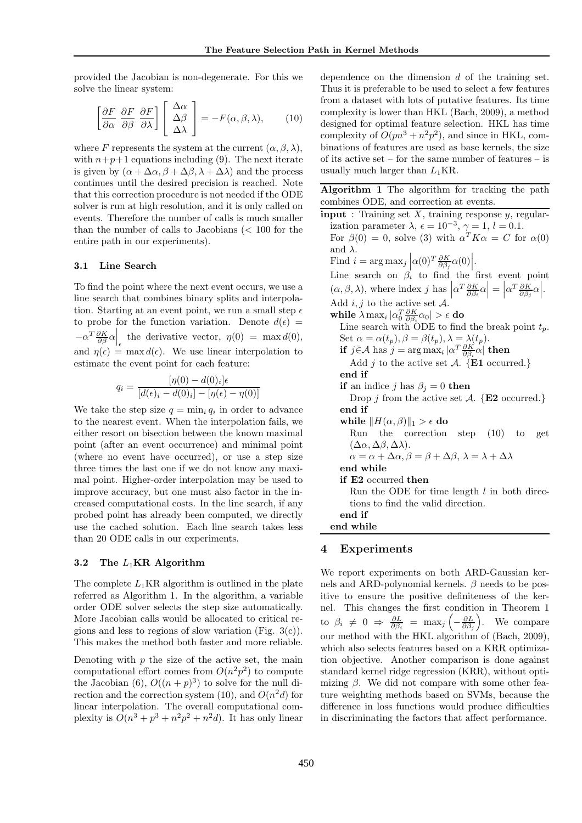provided the Jacobian is non-degenerate. For this we solve the linear system:

$$
\left[\frac{\partial F}{\partial \alpha} \frac{\partial F}{\partial \beta} \frac{\partial F}{\partial \lambda}\right] \left[\begin{array}{c} \Delta \alpha \\ \Delta \beta \\ \Delta \lambda \end{array}\right] = -F(\alpha, \beta, \lambda), \quad (10)
$$

where F represents the system at the current  $(\alpha, \beta, \lambda)$ , with  $n+p+1$  equations including (9). The next iterate is given by  $(\alpha + \Delta \alpha, \beta + \Delta \beta, \lambda + \Delta \lambda)$  and the process continues until the desired precision is reached. Note that this correction procedure is not needed if the ODE solver is run at high resolution, and it is only called on events. Therefore the number of calls is much smaller than the number of calls to Jacobians  $\langle \, 100 \rangle$  for the entire path in our experiments).

#### 3.1 Line Search

To find the point where the next event occurs, we use a line search that combines binary splits and interpolation. Starting at an event point, we run a small step  $\epsilon$ to probe for the function variation. Denote  $d(\epsilon)$  =  $-\alpha^T \frac{\partial K}{\partial \beta} \alpha$  the derivative vector,  $\eta(0) = \max d(0)$ , and  $\eta(\epsilon) = \max d(\epsilon)$ . We use linear interpolation to estimate the event point for each feature:

$$
q_i = \frac{[\eta(0) - d(0)_i] \epsilon}{[d(\epsilon)_i - d(0)_i] - [\eta(\epsilon) - \eta(0)]}
$$

We take the step size  $q = \min_i q_i$  in order to advance to the nearest event. When the interpolation fails, we either resort on bisection between the known maximal point (after an event occurrence) and minimal point (where no event have occurred), or use a step size three times the last one if we do not know any maximal point. Higher-order interpolation may be used to improve accuracy, but one must also factor in the increased computational costs. In the line search, if any probed point has already been computed, we directly use the cached solution. Each line search takes less than 20 ODE calls in our experiments.

#### 3.2 The  $L_1$ KR Algorithm

The complete  $L_1$ KR algorithm is outlined in the plate referred as Algorithm 1. In the algorithm, a variable order ODE solver selects the step size automatically. More Jacobian calls would be allocated to critical regions and less to regions of slow variation (Fig.  $3(c)$ ). This makes the method both faster and more reliable.

Denoting with  $p$  the size of the active set, the main computational effort comes from  $O(n^2p^2)$  to compute the Jacobian  $(6)$ ,  $O((n+p)^3)$  to solve for the null direction and the correction system  $(10)$ , and  $O(n^2d)$  for linear interpolation. The overall computational complexity is  $O(n^3 + p^3 + n^2p^2 + n^2d)$ . It has only linear dependence on the dimension d of the training set. Thus it is preferable to be used to select a few features from a dataset with lots of putative features. Its time complexity is lower than HKL (Bach, 2009), a method designed for optimal feature selection. HKL has time complexity of  $O(pn^3 + n^2p^2)$ , and since in HKL, combinations of features are used as base kernels, the size of its active set – for the same number of features – is usually much larger than  $L_1$ KR.

Algorithm 1 The algorithm for tracking the path combines ODE, and correction at events.

 $\overline{\mathbf{input}}$ : Training set X, training response y, regularization parameter  $\lambda$ ,  $\epsilon = 10^{-3}$ ,  $\gamma = 1$ ,  $l = 0.1$ . For  $\beta(0) = 0$ , solve (3) with  $\alpha^T K \alpha = C$  for  $\alpha(0)$ and  $\lambda$ . Find  $i = \arg \max_j \left| \alpha(0)^T \frac{\partial K}{\partial \beta_j} \alpha(0) \right|$ .<br>Line search on  $\beta_i$  to find the first event point  $(\alpha, \beta, \lambda)$ , where index j has  $\left| \alpha^T \frac{\partial K}{\partial \beta_i} \alpha \right| = \left| \alpha^T \frac{\partial K}{\partial \beta_j} \alpha \right|$ . Add  $i, j$  to the active set  $A$ . while  $\lambda \max_i |\alpha_0^T\frac{\partial K}{\partial \beta_i}\alpha_0|>\epsilon$  do Line search with ODE to find the break point  $t_p$ . Set  $\alpha = \alpha(t_p), \beta = \beta(t_p), \lambda = \lambda(t_p).$ if  $j \in \mathcal{A}$  has  $j = \argmax_i |\alpha^T \frac{\partial K}{\partial \beta_i} \alpha|$  then Add j to the active set  $\mathcal{A}$ . {E1 occurred.} end if if an indice j has  $\beta_i = 0$  then Drop j from the active set  $\mathcal{A}$ . {E2 occurred.} end if while  $\|H(\alpha, \beta)\|_1 > \epsilon$  do Run the correction step (10) to get (∆α, ∆β, ∆λ).  $\alpha = \alpha + \Delta \alpha$ ,  $\beta = \beta + \Delta \beta$ ,  $\lambda = \lambda + \Delta \lambda$ end while if E2 occurred then Run the ODE for time length  $l$  in both directions to find the valid direction. end if end while

## 4 Experiments

We report experiments on both ARD-Gaussian kernels and ARD-polynomial kernels.  $\beta$  needs to be positive to ensure the positive definiteness of the kernel. This changes the first condition in Theorem 1 to  $\beta_i \neq 0 \Rightarrow \frac{\partial L}{\partial \beta_i} = \max_j \left( - \frac{\partial L}{\partial \beta_j} \right)$ . We compare our method with the HKL algorithm of (Bach, 2009), which also selects features based on a KRR optimization objective. Another comparison is done against standard kernel ridge regression (KRR), without optimizing  $\beta$ . We did not compare with some other feature weighting methods based on SVMs, because the difference in loss functions would produce difficulties in discriminating the factors that affect performance.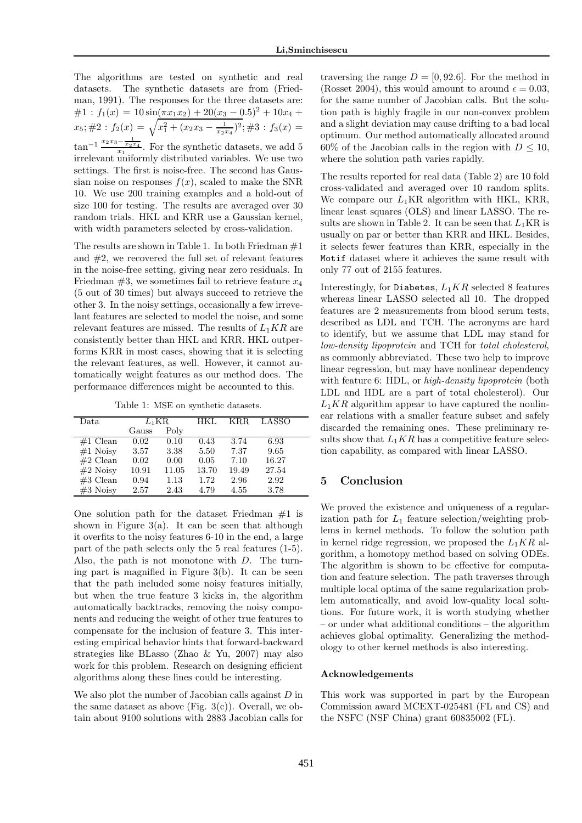The algorithms are tested on synthetic and real datasets. The synthetic datasets are from (Friedman, 1991). The responses for the three datasets are:  $\#1: f_1(x) = 10\sin(\pi x_1 x_2) + 20(x_3 - 0.5)^2 + 10x_4 +$  $x_5$ ; #2 :  $f_2(x) = \sqrt{x_1^2 + (x_2x_3 - \frac{1}{x_2x_4})^2}$ ; #3 :  $f_3(x) =$  $\tan^{-1} \frac{x_2x_3-\frac{1}{x_2x_4}}{x_1}$ . For the synthetic datasets, we add 5 irrelevant uniformly distributed variables. We use two settings. The first is noise-free. The second has Gaussian noise on responses  $f(x)$ , scaled to make the SNR 10. We use 200 training examples and a hold-out of size 100 for testing. The results are averaged over 30 random trials. HKL and KRR use a Gaussian kernel, with width parameters selected by cross-validation.

The results are shown in Table 1. In both Friedman  $#1$ and  $#2$ , we recovered the full set of relevant features in the noise-free setting, giving near zero residuals. In Friedman  $#3$ , we sometimes fail to retrieve feature  $x_4$ (5 out of 30 times) but always succeed to retrieve the other 3. In the noisy settings, occasionally a few irrevelant features are selected to model the noise, and some relevant features are missed. The results of  $L_1KR$  are consistently better than HKL and KRR. HKL outperforms KRR in most cases, showing that it is selecting the relevant features, as well. However, it cannot automatically weight features as our method does. The performance differences might be accounted to this.

Table 1: MSE on synthetic datasets.

| Data       | $L_1\mathrm{KR}$ |       | HKL.  | KR.R. | LASSO |
|------------|------------------|-------|-------|-------|-------|
|            | Gauss            | Poly  |       |       |       |
| $#1$ Clean | 0.02             | 0.10  | 0.43  | 3.74  | 6.93  |
| $#1$ Noisy | 3.57             | 3.38  | 5.50  | 7.37  | 9.65  |
| $#2$ Clean | 0.02             | 0.00  | 0.05  | 7.10  | 16.27 |
| $#2$ Noisy | 10.91            | 11.05 | 13.70 | 19.49 | 27.54 |
| $#3$ Clean | 0.94             | 1.13  | 1.72  | 2.96  | 2.92  |
| $#3$ Noisy | 2.57             | 2.43  | 4.79  | 4.55  | 3.78  |

One solution path for the dataset Friedman  $#1$  is shown in Figure  $3(a)$ . It can be seen that although it overfits to the noisy features 6-10 in the end, a large part of the path selects only the 5 real features (1-5). Also, the path is not monotone with D. The turning part is magnified in Figure 3(b). It can be seen that the path included some noisy features initially, but when the true feature 3 kicks in, the algorithm automatically backtracks, removing the noisy components and reducing the weight of other true features to compensate for the inclusion of feature 3. This interesting empirical behavior hints that forward-backward strategies like BLasso (Zhao & Yu, 2007) may also work for this problem. Research on designing efficient algorithms along these lines could be interesting.

We also plot the number of Jacobian calls against  $D$  in the same dataset as above (Fig.  $3(c)$ ). Overall, we obtain about 9100 solutions with 2883 Jacobian calls for

traversing the range  $D = [0, 92.6]$ . For the method in (Rosset 2004), this would amount to around  $\epsilon = 0.03$ , for the same number of Jacobian calls. But the solution path is highly fragile in our non-convex problem and a slight deviation may cause drifting to a bad local optimum. Our method automatically allocated around  $60\%$  of the Jacobian calls in the region with  $D \leq 10$ , where the solution path varies rapidly.

The results reported for real data (Table 2) are 10 fold cross-validated and averaged over 10 random splits. We compare our  $L_1$ KR algorithm with HKL, KRR, linear least squares (OLS) and linear LASSO. The results are shown in Table 2. It can be seen that  $L_1$ KR is usually on par or better than KRR and HKL. Besides, it selects fewer features than KRR, especially in the Motif dataset where it achieves the same result with only 77 out of 2155 features.

Interestingly, for Diabetes,  $L_1KR$  selected 8 features whereas linear LASSO selected all 10. The dropped features are 2 measurements from blood serum tests, described as LDL and TCH. The acronyms are hard to identify, but we assume that LDL may stand for *low-density lipoprotein* and TCH for *total cholesterol*, as commonly abbreviated. These two help to improve linear regression, but may have nonlinear dependency with feature 6: HDL, or *high-density lipoprotein* (both LDL and HDL are a part of total cholesterol). Our  $L_1KR$  algorithm appear to have captured the nonlinear relations with a smaller feature subset and safely discarded the remaining ones. These preliminary results show that  $L_1KR$  has a competitive feature selection capability, as compared with linear LASSO.

## 5 Conclusion

We proved the existence and uniqueness of a regularization path for  $L_1$  feature selection/weighting problems in kernel methods. To follow the solution path in kernel ridge regression, we proposed the  $L_1KR$  algorithm, a homotopy method based on solving ODEs. The algorithm is shown to be effective for computation and feature selection. The path traverses through multiple local optima of the same regularization problem automatically, and avoid low-quality local solutions. For future work, it is worth studying whether – or under what additional conditions – the algorithm achieves global optimality. Generalizing the methodology to other kernel methods is also interesting.

#### Acknowledgements

This work was supported in part by the European Commission award MCEXT-025481 (FL and CS) and the NSFC (NSF China) grant 60835002 (FL).